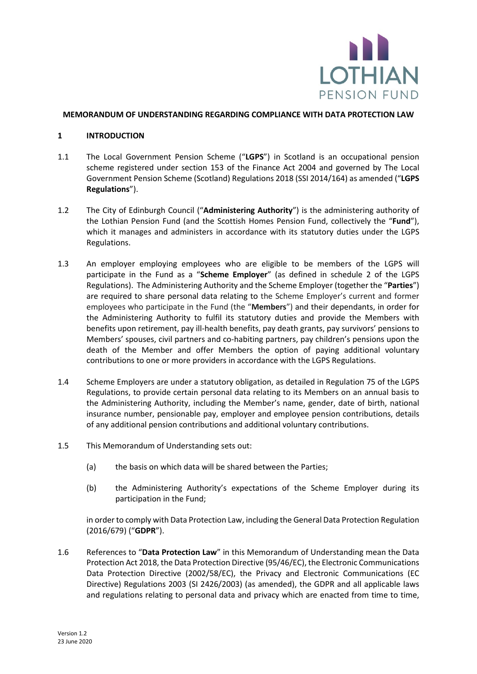

#### **MEMORANDUM OF UNDERSTANDING REGARDING COMPLIANCE WITH DATA PROTECTION LAW**

#### **1 INTRODUCTION**

- 1.1 The Local Government Pension Scheme ("**LGPS**") in Scotland is an occupational pension scheme registered under section 153 of the Finance Act 2004 and governed by The Local Government Pension Scheme (Scotland) Regulations 2018 (SSI 2014/164) as amended ("**LGPS Regulations**").
- 1.2 The City of Edinburgh Council ("**Administering Authority**") is the administering authority of the Lothian Pension Fund (and the Scottish Homes Pension Fund, collectively the "**Fund**"), which it manages and administers in accordance with its statutory duties under the LGPS Regulations.
- <span id="page-0-0"></span>1.3 An employer employing employees who are eligible to be members of the LGPS will participate in the Fund as a "**Scheme Employer**" (as defined in schedule 2 of the LGPS Regulations). The Administering Authority and the Scheme Employer (together the "**Parties**") are required to share personal data relating to the Scheme Employer's current and former employees who participate in the Fund (the "**Members**") and their dependants, in order for the Administering Authority to fulfil its statutory duties and provide the Members with benefits upon retirement, pay ill-health benefits, pay death grants, pay survivors' pensions to Members' spouses, civil partners and co-habiting partners, pay children's pensions upon the death of the Member and offer Members the option of paying additional voluntary contributions to one or more providers in accordance with the LGPS Regulations.
- <span id="page-0-1"></span>1.4 Scheme Employers are under a statutory obligation, as detailed in Regulation 75 of the LGPS Regulations, to provide certain personal data relating to its Members on an annual basis to the Administering Authority, including the Member's name, gender, date of birth, national insurance number, pensionable pay, employer and employee pension contributions, details of any additional pension contributions and additional voluntary contributions.
- 1.5 This Memorandum of Understanding sets out:
	- (a) the basis on which data will be shared between the Parties;
	- (b) the Administering Authority's expectations of the Scheme Employer during its participation in the Fund;

in order to comply with Data Protection Law, including the General Data Protection Regulation (2016/679) ("**GDPR**").

1.6 References to "**Data Protection Law**" in this Memorandum of Understanding mean the Data Protection Act 2018, the Data Protection Directive (95/46/EC), the Electronic Communications Data Protection Directive (2002/58/EC), the Privacy and Electronic Communications (EC Directive) Regulations 2003 (SI 2426/2003) (as amended), the GDPR and all applicable laws and regulations relating to personal data and privacy which are enacted from time to time,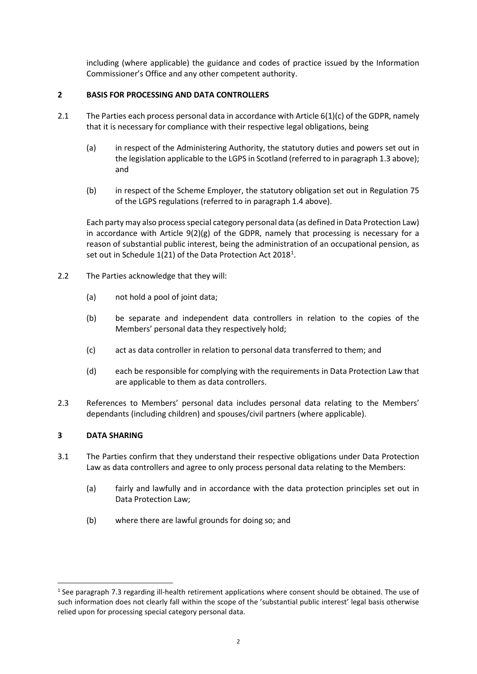including (where applicable) the guidance and codes of practice issued by the Information Commissioner's Office and any other competent authority.

# **2 BASIS FOR PROCESSING AND DATA CONTROLLERS**

- 2.1 The Parties each process personal data in accordance with Article 6(1)(c) of the GDPR, namely that it is necessary for compliance with their respective legal obligations, being
	- (a) in respect of the Administering Authority, the statutory duties and powers set out in the legislation applicable to the LGPS in Scotland (referred to in paragrap[h 1.3](#page-0-0) above); and
	- (b) in respect of the Scheme Employer, the statutory obligation set out in Regulation 75 of the LGPS regulations (referred to in paragrap[h 1.4](#page-0-1) above).

Each party may also process special category personal data (as defined in Data Protection Law) in accordance with Article  $9(2)(g)$  of the GDPR, namely that processing is necessary for a reason of substantial public interest, being the administration of an occupational pension, as set out in Schedule [1](#page-1-0)(21) of the Data Protection Act 2018<sup>1</sup>.

- 2.2 The Parties acknowledge that they will:
	- (a) not hold a pool of joint data;
	- (b) be separate and independent data controllers in relation to the copies of the Members' personal data they respectively hold;
	- (c) act as data controller in relation to personal data transferred to them; and
	- (d) each be responsible for complying with the requirements in Data Protection Law that are applicable to them as data controllers.
- 2.3 References to Members' personal data includes personal data relating to the Members' dependants (including children) and spouses/civil partners (where applicable).

# **3 DATA SHARING**

-

- 3.1 The Parties confirm that they understand their respective obligations under Data Protection Law as data controllers and agree to only process personal data relating to the Members:
	- (a) fairly and lawfully and in accordance with the data protection principles set out in Data Protection Law;
	- (b) where there are lawful grounds for doing so; and

<span id="page-1-0"></span> $1$  See paragraph [7.3](#page-4-0) regarding ill-health retirement applications where consent should be obtained. The use of such information does not clearly fall within the scope of the 'substantial public interest' legal basis otherwise relied upon for processing special category personal data.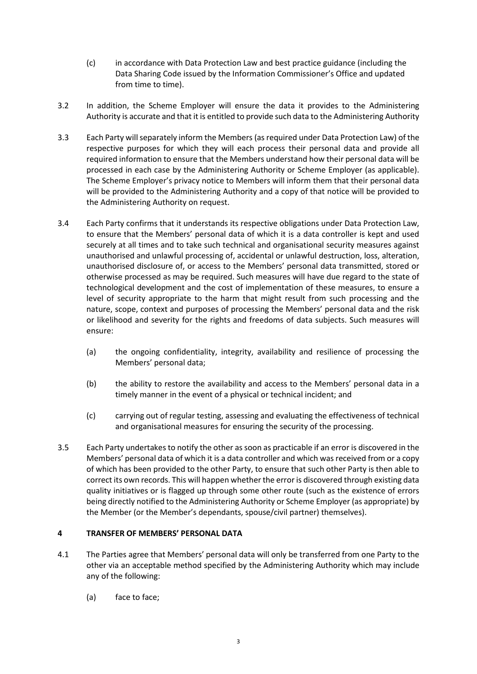- (c) in accordance with Data Protection Law and best practice guidance (including the Data Sharing Code issued by the Information Commissioner's Office and updated from time to time).
- 3.2 In addition, the Scheme Employer will ensure the data it provides to the Administering Authority is accurate and that it is entitled to provide such data to the Administering Authority
- 3.3 Each Party will separately inform the Members (as required under Data Protection Law) of the respective purposes for which they will each process their personal data and provide all required information to ensure that the Members understand how their personal data will be processed in each case by the Administering Authority or Scheme Employer (as applicable). The Scheme Employer's privacy notice to Members will inform them that their personal data will be provided to the Administering Authority and a copy of that notice will be provided to the Administering Authority on request.
- 3.4 Each Party confirms that it understands its respective obligations under Data Protection Law, to ensure that the Members' personal data of which it is a data controller is kept and used securely at all times and to take such technical and organisational security measures against unauthorised and unlawful processing of, accidental or unlawful destruction, loss, alteration, unauthorised disclosure of, or access to the Members' personal data transmitted, stored or otherwise processed as may be required. Such measures will have due regard to the state of technological development and the cost of implementation of these measures, to ensure a level of security appropriate to the harm that might result from such processing and the nature, scope, context and purposes of processing the Members' personal data and the risk or likelihood and severity for the rights and freedoms of data subjects. Such measures will ensure:
	- (a) the ongoing confidentiality, integrity, availability and resilience of processing the Members' personal data;
	- (b) the ability to restore the availability and access to the Members' personal data in a timely manner in the event of a physical or technical incident; and
	- (c) carrying out of regular testing, assessing and evaluating the effectiveness of technical and organisational measures for ensuring the security of the processing.
- 3.5 Each Party undertakes to notify the other as soon as practicable if an error is discovered in the Members' personal data of which it is a data controller and which was received from or a copy of which has been provided to the other Party, to ensure that such other Party is then able to correct its own records. This will happen whether the error is discovered through existing data quality initiatives or is flagged up through some other route (such as the existence of errors being directly notified to the Administering Authority or Scheme Employer (as appropriate) by the Member (or the Member's dependants, spouse/civil partner) themselves).

# **4 TRANSFER OF MEMBERS' PERSONAL DATA**

- 4.1 The Parties agree that Members' personal data will only be transferred from one Party to the other via an acceptable method specified by the Administering Authority which may include any of the following:
	- (a) face to face;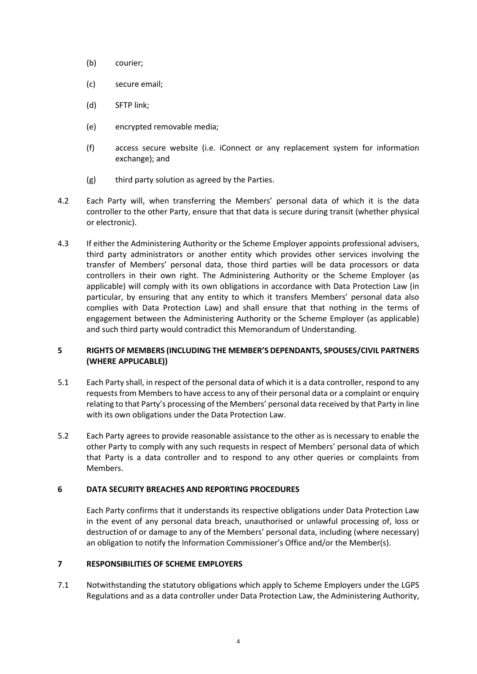- (b) courier;
- (c) secure email;
- (d) SFTP link;
- (e) encrypted removable media;
- (f) access secure website (i.e. iConnect or any replacement system for information exchange); and
- (g) third party solution as agreed by the Parties.
- 4.2 Each Party will, when transferring the Members' personal data of which it is the data controller to the other Party, ensure that that data is secure during transit (whether physical or electronic).
- 4.3 If either the Administering Authority or the Scheme Employer appoints professional advisers, third party administrators or another entity which provides other services involving the transfer of Members' personal data, those third parties will be data processors or data controllers in their own right. The Administering Authority or the Scheme Employer (as applicable) will comply with its own obligations in accordance with Data Protection Law (in particular, by ensuring that any entity to which it transfers Members' personal data also complies with Data Protection Law) and shall ensure that that nothing in the terms of engagement between the Administering Authority or the Scheme Employer (as applicable) and such third party would contradict this Memorandum of Understanding.

## **5 RIGHTS OF MEMBERS (INCLUDING THE MEMBER'S DEPENDANTS, SPOUSES/CIVIL PARTNERS (WHERE APPLICABLE))**

- 5.1 Each Party shall, in respect of the personal data of which it is a data controller, respond to any requests from Members to have access to any of their personal data or a complaint or enquiry relating to that Party's processing of the Members' personal data received by that Party in line with its own obligations under the Data Protection Law.
- 5.2 Each Party agrees to provide reasonable assistance to the other as is necessary to enable the other Party to comply with any such requests in respect of Members' personal data of which that Party is a data controller and to respond to any other queries or complaints from Members.

### **6 DATA SECURITY BREACHES AND REPORTING PROCEDURES**

Each Party confirms that it understands its respective obligations under Data Protection Law in the event of any personal data breach, unauthorised or unlawful processing of, loss or destruction of or damage to any of the Members' personal data, including (where necessary) an obligation to notify the Information Commissioner's Office and/or the Member(s).

### **7 RESPONSIBILITIES OF SCHEME EMPLOYERS**

7.1 Notwithstanding the statutory obligations which apply to Scheme Employers under the LGPS Regulations and as a data controller under Data Protection Law, the Administering Authority,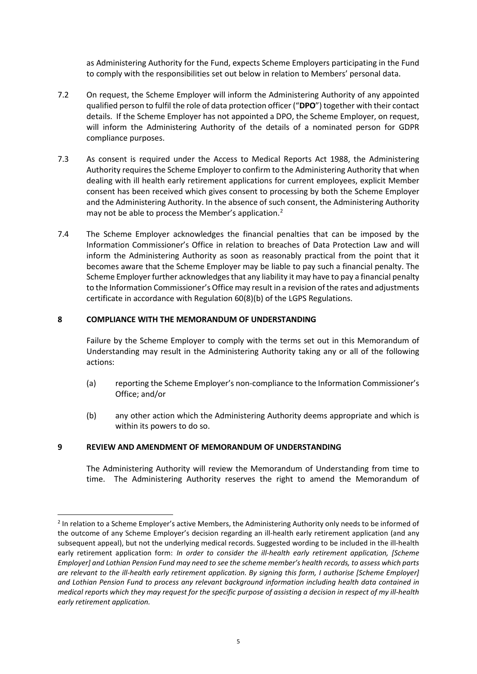as Administering Authority for the Fund, expects Scheme Employers participating in the Fund to comply with the responsibilities set out below in relation to Members' personal data.

- 7.2 On request, the Scheme Employer will inform the Administering Authority of any appointed qualified person to fulfil the role of data protection officer ("**DPO**") together with their contact details. If the Scheme Employer has not appointed a DPO, the Scheme Employer, on request, will inform the Administering Authority of the details of a nominated person for GDPR compliance purposes.
- <span id="page-4-0"></span>7.3 As consent is required under the Access to Medical Reports Act 1988, the Administering Authority requires the Scheme Employer to confirm to the Administering Authority that when dealing with ill health early retirement applications for current employees, explicit Member consent has been received which gives consent to processing by both the Scheme Employer and the Administering Authority. In the absence of such consent, the Administering Authority may not be able to process the Member's application.<sup>[2](#page-4-1)</sup>
- 7.4 The Scheme Employer acknowledges the financial penalties that can be imposed by the Information Commissioner's Office in relation to breaches of Data Protection Law and will inform the Administering Authority as soon as reasonably practical from the point that it becomes aware that the Scheme Employer may be liable to pay such a financial penalty. The Scheme Employer further acknowledges that any liability it may have to pay a financial penalty to the Information Commissioner's Office may result in a revision of the rates and adjustments certificate in accordance with Regulation 60(8)(b) of the LGPS Regulations.

## **8 COMPLIANCE WITH THE MEMORANDUM OF UNDERSTANDING**

Failure by the Scheme Employer to comply with the terms set out in this Memorandum of Understanding may result in the Administering Authority taking any or all of the following actions:

- (a) reporting the Scheme Employer's non-compliance to the Information Commissioner's Office; and/or
- (b) any other action which the Administering Authority deems appropriate and which is within its powers to do so.

### **9 REVIEW AND AMENDMENT OF MEMORANDUM OF UNDERSTANDING**

-

The Administering Authority will review the Memorandum of Understanding from time to time. The Administering Authority reserves the right to amend the Memorandum of

<span id="page-4-1"></span><sup>&</sup>lt;sup>2</sup> In relation to a Scheme Employer's active Members, the Administering Authority only needs to be informed of the outcome of any Scheme Employer's decision regarding an ill-health early retirement application (and any subsequent appeal), but not the underlying medical records. Suggested wording to be included in the ill-health early retirement application form: *In order to consider the ill-health early retirement application, [Scheme Employer] and Lothian Pension Fund may need to see the scheme member's health records, to assess which parts are relevant to the ill-health early retirement application. By signing this form, I authorise [Scheme Employer] and Lothian Pension Fund to process any relevant background information including health data contained in medical reports which they may request for the specific purpose of assisting a decision in respect of my ill-health early retirement application.*